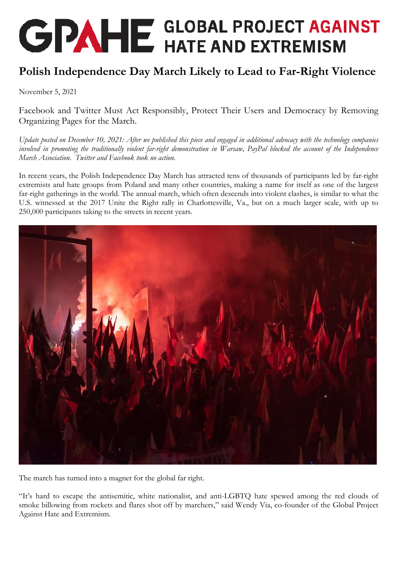## **GPAHE** GLOBAL PROJECT AGAINST

## **Polish Independence Day March Likely to Lead to Far-Right Violence**

November 5, 2021

Facebook and Twitter Must Act Responsibly, Protect Their Users and Democracy by Removing Organizing Pages for the March.

*Update posted on December 10, 2021: After we published this piece and engaged in additional advocacy with the technology companies involved in promoting the traditionally violent far-right demonstration in Warsaw, PayPal blocked the account of the Independence March Association. Twitter and Facebook took no action.* 

In recent years, the Polish Independence Day March has attracted tens of thousands of participants led by far-right extremists and hate groups from Poland and many other countries, making a name for itself as one of the largest far-right gatherings in the world. The annual march, which often descends into violent clashes, is similar to what the U.S. witnessed at the 2017 Unite the Right rally in Charlottesville, Va., but on a much larger scale, with up to 250,000 participants taking to the streets in recent years.



The march has turned into a magnet for the global far right.

"It's hard to escape the antisemitic, white nationalist, and anti-LGBTQ hate spewed among the red clouds of smoke billowing from rockets and flares shot off by marchers," said Wendy Via, co-founder of the Global Project Against Hate and Extremism.